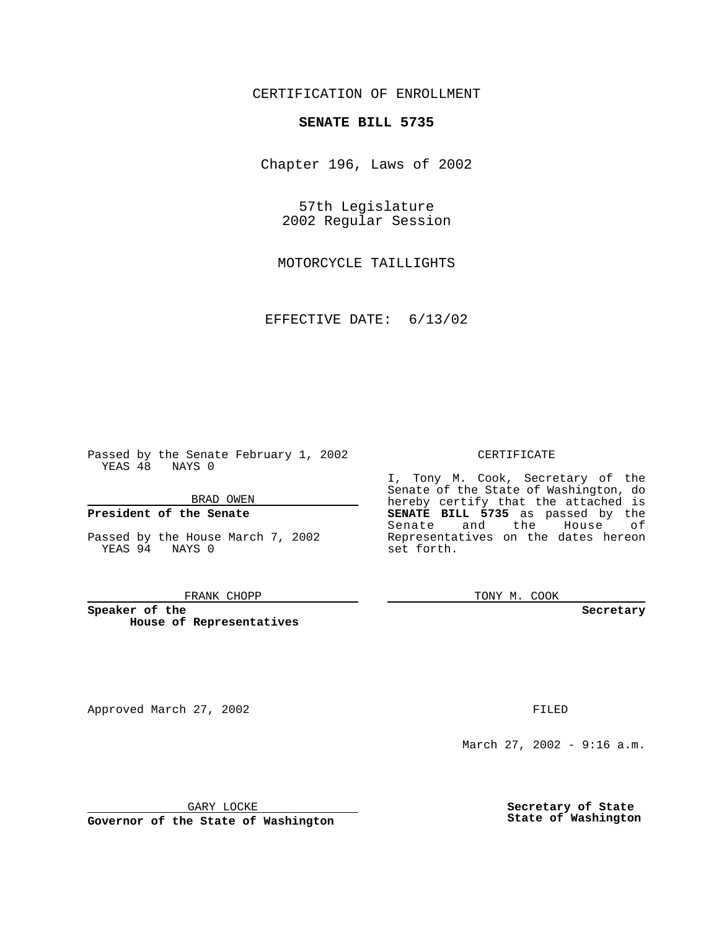# CERTIFICATION OF ENROLLMENT

# **SENATE BILL 5735**

Chapter 196, Laws of 2002

57th Legislature 2002 Regular Session

MOTORCYCLE TAILLIGHTS

EFFECTIVE DATE: 6/13/02

Passed by the Senate February 1, 2002 YEAS 48 NAYS 0

### BRAD OWEN

## **President of the Senate**

Passed by the House March 7, 2002 YEAS 94 NAYS 0

#### FRANK CHOPP

**Speaker of the House of Representatives**

Approved March 27, 2002 **FILED** 

### CERTIFICATE

I, Tony M. Cook, Secretary of the Senate of the State of Washington, do hereby certify that the attached is **SENATE BILL 5735** as passed by the Senate and the House of Representatives on the dates hereon set forth.

TONY M. COOK

**Secretary**

March 27, 2002 - 9:16 a.m.

GARY LOCKE

**Governor of the State of Washington**

**Secretary of State State of Washington**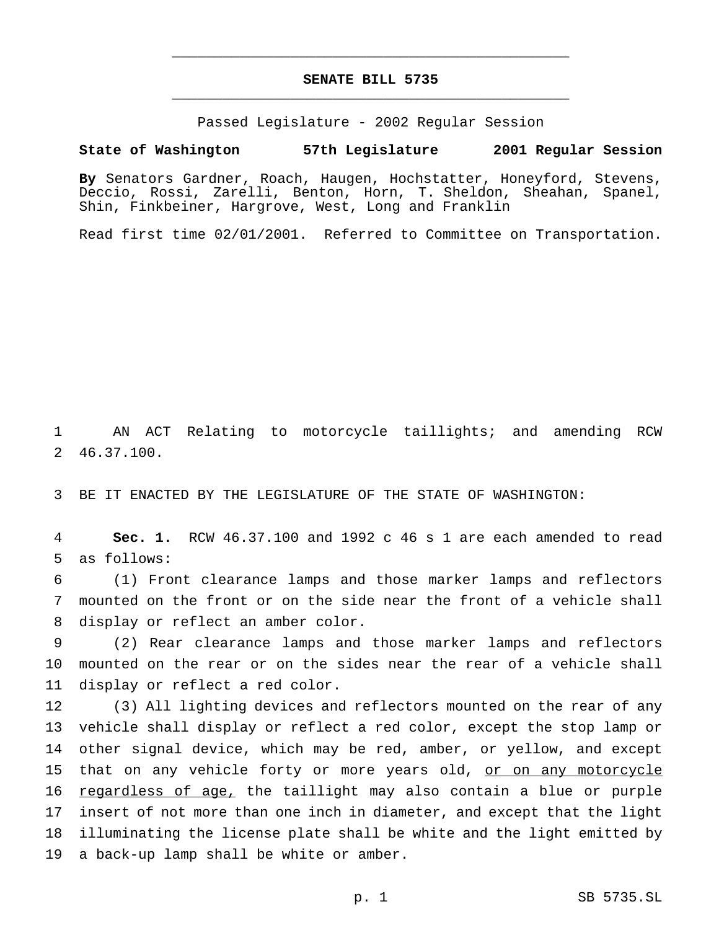# **SENATE BILL 5735** \_\_\_\_\_\_\_\_\_\_\_\_\_\_\_\_\_\_\_\_\_\_\_\_\_\_\_\_\_\_\_\_\_\_\_\_\_\_\_\_\_\_\_\_\_\_\_

\_\_\_\_\_\_\_\_\_\_\_\_\_\_\_\_\_\_\_\_\_\_\_\_\_\_\_\_\_\_\_\_\_\_\_\_\_\_\_\_\_\_\_\_\_\_\_

Passed Legislature - 2002 Regular Session

### **State of Washington 57th Legislature 2001 Regular Session**

**By** Senators Gardner, Roach, Haugen, Hochstatter, Honeyford, Stevens, Deccio, Rossi, Zarelli, Benton, Horn, T. Sheldon, Sheahan, Spanel, Shin, Finkbeiner, Hargrove, West, Long and Franklin

Read first time 02/01/2001. Referred to Committee on Transportation.

1 AN ACT Relating to motorcycle taillights; and amending RCW 2 46.37.100.

3 BE IT ENACTED BY THE LEGISLATURE OF THE STATE OF WASHINGTON:

4 **Sec. 1.** RCW 46.37.100 and 1992 c 46 s 1 are each amended to read 5 as follows:

6 (1) Front clearance lamps and those marker lamps and reflectors 7 mounted on the front or on the side near the front of a vehicle shall 8 display or reflect an amber color.

9 (2) Rear clearance lamps and those marker lamps and reflectors 10 mounted on the rear or on the sides near the rear of a vehicle shall 11 display or reflect a red color.

 (3) All lighting devices and reflectors mounted on the rear of any vehicle shall display or reflect a red color, except the stop lamp or other signal device, which may be red, amber, or yellow, and except 15 that on any vehicle forty or more years old, or on any motorcycle 16 regardless of age, the taillight may also contain a blue or purple insert of not more than one inch in diameter, and except that the light illuminating the license plate shall be white and the light emitted by a back-up lamp shall be white or amber.